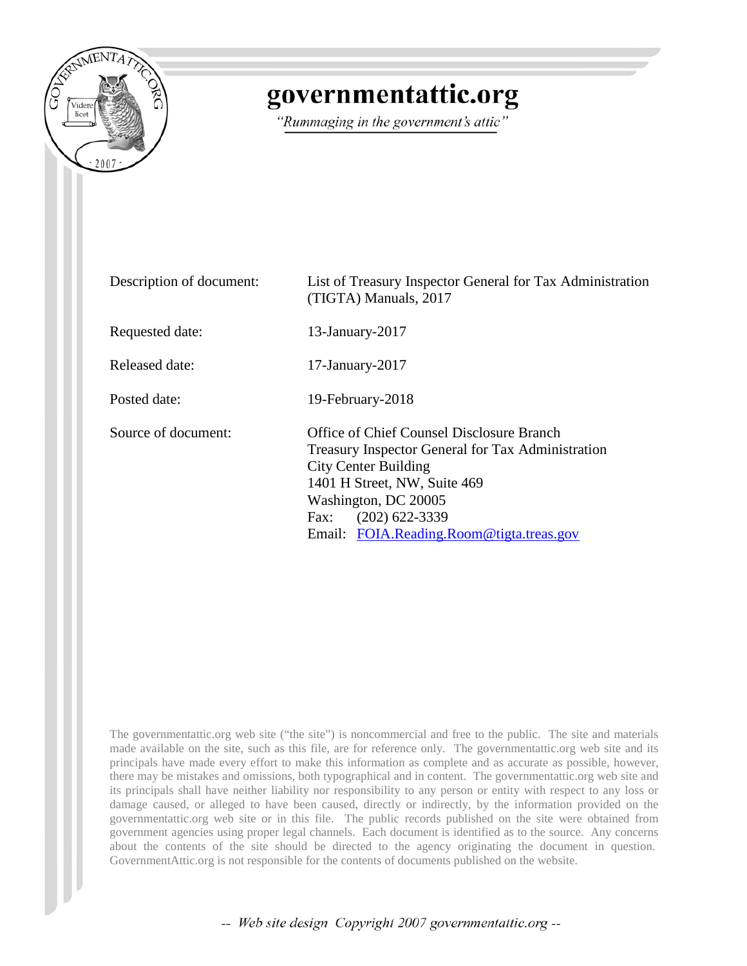

# governmentattic.org

"Rummaging in the government's attic"

| Description of document: | List of Treasury Inspector General for Tax Administration<br>(TIGTA) Manuals, 2017                                                                                                                                                                            |
|--------------------------|---------------------------------------------------------------------------------------------------------------------------------------------------------------------------------------------------------------------------------------------------------------|
| Requested date:          | $13$ -January-2017                                                                                                                                                                                                                                            |
| Released date:           | $17$ -January- $2017$                                                                                                                                                                                                                                         |
| Posted date:             | 19-February-2018                                                                                                                                                                                                                                              |
| Source of document:      | Office of Chief Counsel Disclosure Branch<br>Treasury Inspector General for Tax Administration<br><b>City Center Building</b><br>1401 H Street, NW, Suite 469<br>Washington, DC 20005<br>$(202)$ 622-3339<br>Fax:<br>Email: FOIA.Reading.Room@tigta.treas.gov |

The governmentattic.org web site ("the site") is noncommercial and free to the public. The site and materials made available on the site, such as this file, are for reference only. The governmentattic.org web site and its principals have made every effort to make this information as complete and as accurate as possible, however, there may be mistakes and omissions, both typographical and in content. The governmentattic.org web site and its principals shall have neither liability nor responsibility to any person or entity with respect to any loss or damage caused, or alleged to have been caused, directly or indirectly, by the information provided on the governmentattic.org web site or in this file. The public records published on the site were obtained from government agencies using proper legal channels. Each document is identified as to the source. Any concerns about the contents of the site should be directed to the agency originating the document in question. GovernmentAttic.org is not responsible for the contents of documents published on the website.

-- Web site design Copyright 2007 governmentattic.org --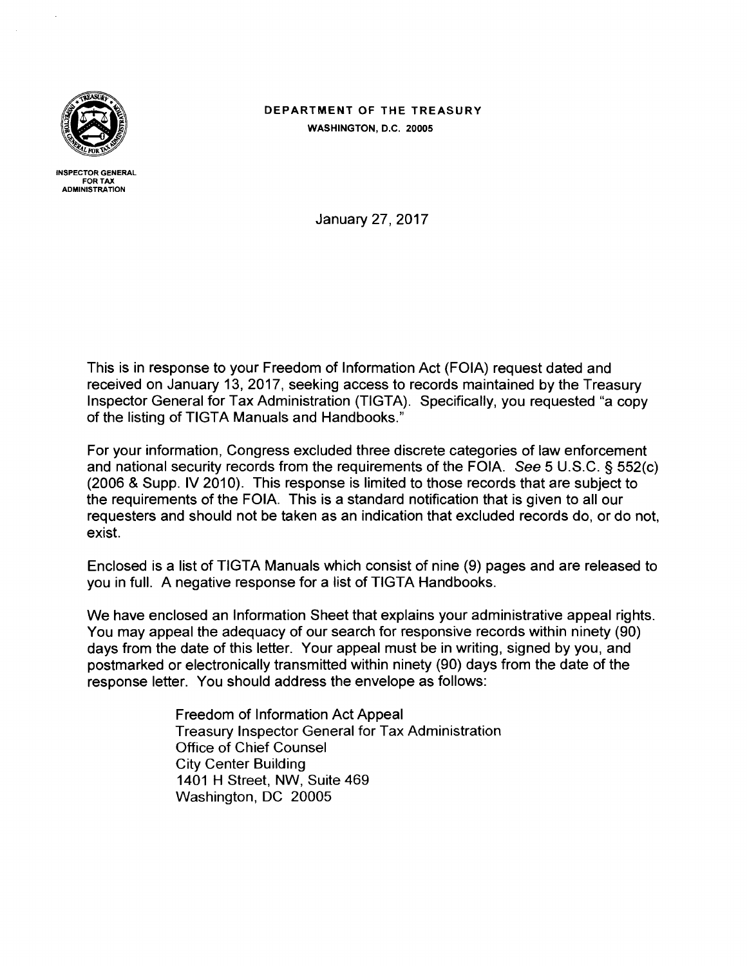

INSPECTOR GENERAL FOR TAX ADMINISTRATION

# DEPARTMENT OF THE TREASURY WASHINGTON, D.C. 20005

January 27, 2017

This is in response to your Freedom of Information Act (FOIA) request dated and received on January 13, 2017, seeking access to records maintained by the Treasury Inspector General for Tax Administration (TIGTA). Specifically, you requested "a copy of the listing of TIGTA Manuals and Handbooks."

For your information, Congress excluded three discrete categories of law enforcement and national security records from the requirements of the FOIA. See 5 U.S.C. § 552(c) (2006 & Supp. IV 2010). This response is limited to those records that are subject to the requirements of the FOIA. This is a standard notification that is given to all our requesters and should not be taken as an indication that excluded records do, or do not, exist.

Enclosed is a list of TIGTA Manuals which consist of nine (9) pages and are released to you in full. A negative response for a list of TIGTA Handbooks.

We have enclosed an Information Sheet that explains your administrative appeal rights. You may appeal the adequacy of our search for responsive records within ninety (90) days from the date of this letter. Your appeal must be in writing, signed by you, and postmarked or electronically transmitted within ninety (90) days from the date of the response letter. You should address the envelope as follows:

> Freedom of Information Act Appeal Treasury Inspector General for Tax Administration Office of Chief Counsel City Center Building 1401 H Street, NW, Suite 469 Washington, DC 20005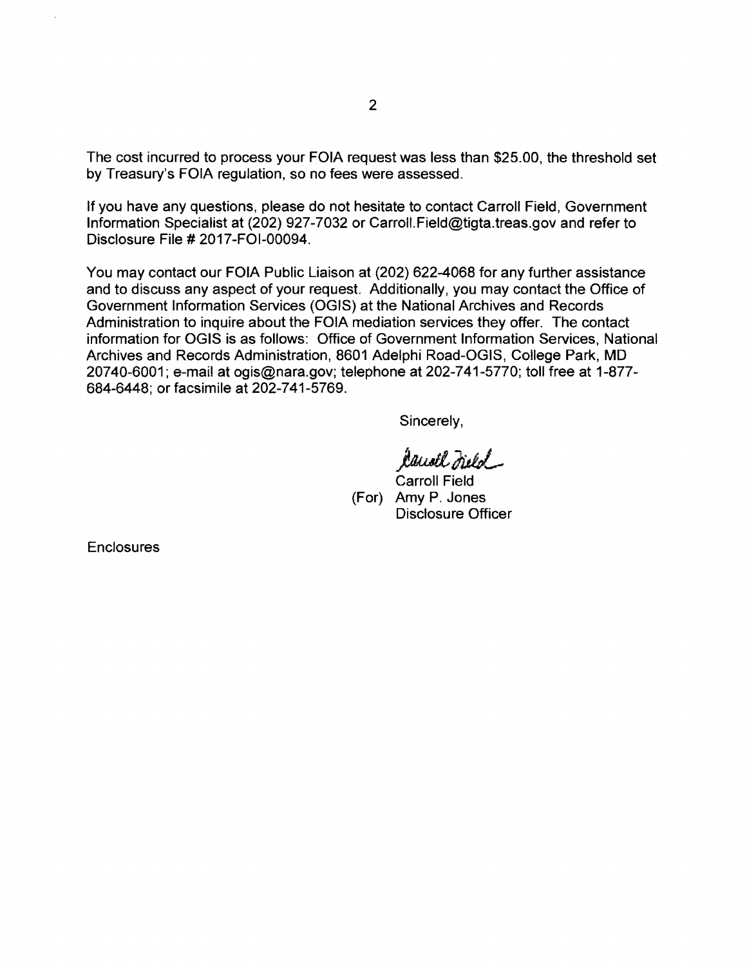The cost incurred to process your FOIA request was less than \$25.00, the threshold set by Treasury's FOIA regulation, so no fees were assessed.

If you have any questions, please do not hesitate to contact Carroll Field, Government Information Specialist at (202) 927-7032 or Carroll.Field@tigta.treas.gov and refer to Disclosure File# 2017-FOl-00094.

You may contact our FOIA Public Liaison at (202) 622-4068 for any further assistance and to discuss any aspect of your request. Additionally, you may contact the Office of Government Information Services (OGIS) at the National Archives and Records Administration to inquire about the FOIA mediation services they offer. The contact information for OGIS is as follows: Office of Government Information Services, National Archives and Records Administration, 8601 Adelphi Road-OGIS, College Park, MD 20740-6001; e-mail at ogis@nara.gov; telephone at 202-741-5770; toll free at 1-877- 684-6448; or facsimile at 202-741-5769.

Sincerely,

*)omtlMJ \_\_* 

Carroll Field (For) Amy P. Jones Disclosure Officer

**Enclosures**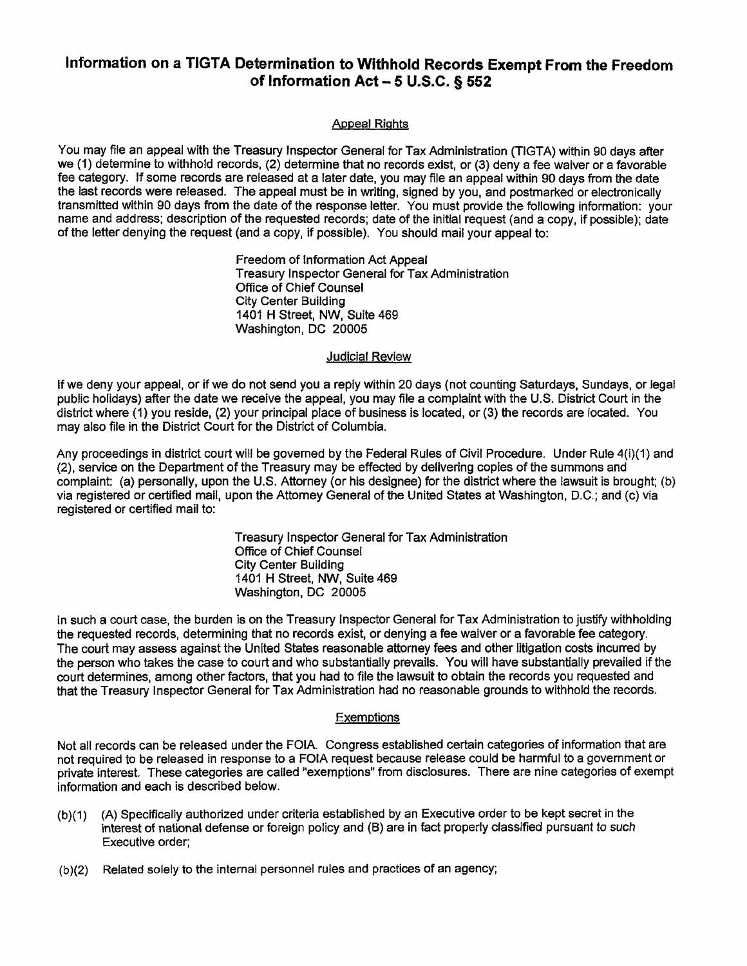# **Information on a TIGTA Determination to Withhold Records Exempt From the Freedom of Information Act - 5 U.S.C. § 552**

#### Appeal Rights

You may file an appeal with the Treasury Inspector General for Tax Administration (TIGTA) within 90 days after we (1) determine to withhold records, (2) determine that no records exist, or (3) deny a fee waiver or a favorable fee category. If some records are released at a later date, you may file an appeal within 90 days from the date the last records were released. The appeal must be in writing, signed by you, and postmarked or electronically transmitted within 90 days from the date of the response letter. You must provide the following information: your name and address; description of the requested records; date of the Initial request (and a copy, If possible); date of the letter denying the request (and a copy, if possible). You should mail your appeal to:

> Freedom of Information Act Appeal Treasury Inspector General for Tax Administration Office of Chief Counsel City Center Building 1401 H Street, NW, Suite 469 Washington, DC 20005

#### Judicial Review

If we deny your appeal, or if we do not send you a reply within 20 days (not counting Saturdays, Sundays, or legal public holidays) after the date we receive the appeal, you may file a complaint with the U.S. District Court in the district where (1) you reside, (2) your principal place of business is located, or (3) the records are located. You may also file in the District Court for the District of Columbia.

Any proceedings in district court will be governed by the Federal Rules of Civil Procedure. Under Rule 4(i)(1) and (2), service on the Department of the Treasury may be effected by delivering copies of the summons and complaint: (a) personally, upon the U.S. Attorney (or his designee) for the district where the lawsuit is brought; (b) via registered or certified mail, upon the Attorney General of the United States at Washington, D.C.; and (c) via registered or certified mail to:

> Treasury Inspector General for Tax Administration Office of Chief Counsel City Center Building 1401 H Street, NW, Suite 469 Washington, DC 20005

In such a court case, the burden is on the Treasury Inspector General for Tax Administration to justify withholding the requested records, determining that no records exist, or denying a fee waiver or a favorable fee category. The court may assess against the United States reasonable attorney fees and other litigation costs incurred by the person who takes the case to court and who substantially prevails. You will have substantially prevailed if the court determines, among other factors, that you had to file the lawsuit to obtain the records you requested and that the Treasury Inspector General for Tax Administration had no reasonable grounds to withhold the records.

#### **Exemptions**

Not all records can be released under the FOIA. Congress established certain categories of information that are not required to be released in response to a FOIA request because release could be harmful to a government or private interest. These categories are called "exemptions" from disclosures. There are nine categories of exempt information and each is described below.

- $(b)(1)$ (A) Specifically authorized under criteria established by an Executive order to be kept secret in the interest of national defense or foreign policy and (B) are in fact properly classified pursuant to such Executive order;
- (b)(2) Related solely to the internal personnel rules and practices of an agency;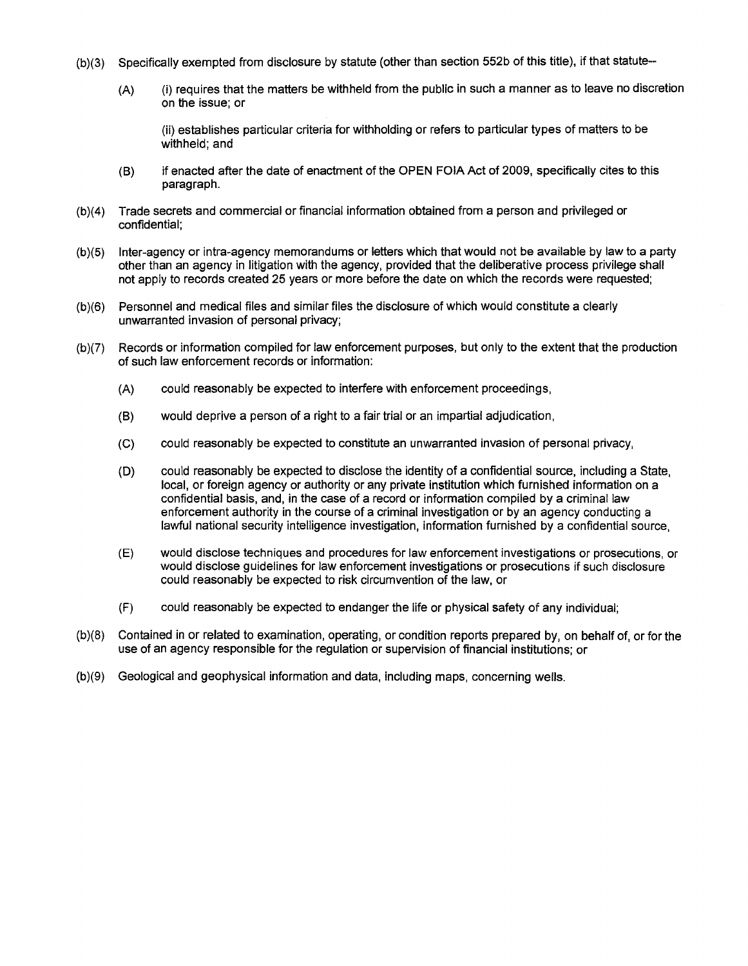- (b)(3) Specifically exempted from disclosure by statute (other than section 552b of this title), if that statute--
	- (A) (i) requires that the matters be withheld from the public in such a manner as to leave no discretion on the issue; or

(ii) establishes particular criteria for withholding or refers to particular types of matters to be withheld; and

- (B) if enacted after the date of enactment of the OPEN FOIA Act of 2009, specifically cites to this paragraph.
- (b)(4) Trade secrets and commercial or financial information obtained from a person and privileged or confidential;
- (b)(5) Inter-agency or intra-agency memorandums or letters which that would not be available by law to a party other than an agency in litigation with the agency, provided that the deliberative process privilege shall not apply to records created 25 years or more before the date on which the records were requested;
- (b)(6) Personnel and medical files and similar files the disclosure of which would constitute a clearly unwarranted invasion of personal privacy;
- (b)(7) Records or information compiled for law enforcement purposes, but only to the extent that the production of such law enforcement records or information:
	- (A) could reasonably be expected to interfere with enforcement proceedings,
	- (B) would deprive a person of a right to a fair trial or an impartial adjudication,
	- (C) could reasonably be expected to constitute an unwarranted invasion of personal privacy,
	- (D) could reasonably be expected to disclose the identity of a confidential source, including a State, local, or foreign agency or authority or any private institution which furnished information on a confidential basis, and, in the case of a record or information compiled by a criminal law enforcement authority in the course of a criminal investigation or by an agency conducting a lawful national security intelligence investigation, information furnished by a confidential source,
	- (E) would disclose techniques and procedures for law enforcement investigations or prosecutions, or would disclose guidelines for law enforcement investigations or prosecutions if such disclosure could reasonably be expected to risk circumvention of the law, or
	- (F) could reasonably be expected to endanger the life or physical safety of any individual;
- (b)(8) Contained in or related to examination, operating, or condition reports prepared by, on behalf of, or for the use of an agency responsible for the regulation or supervision of financial institutions; or
- (b)(9) Geological and geophysical information and data, including maps, concerning wells.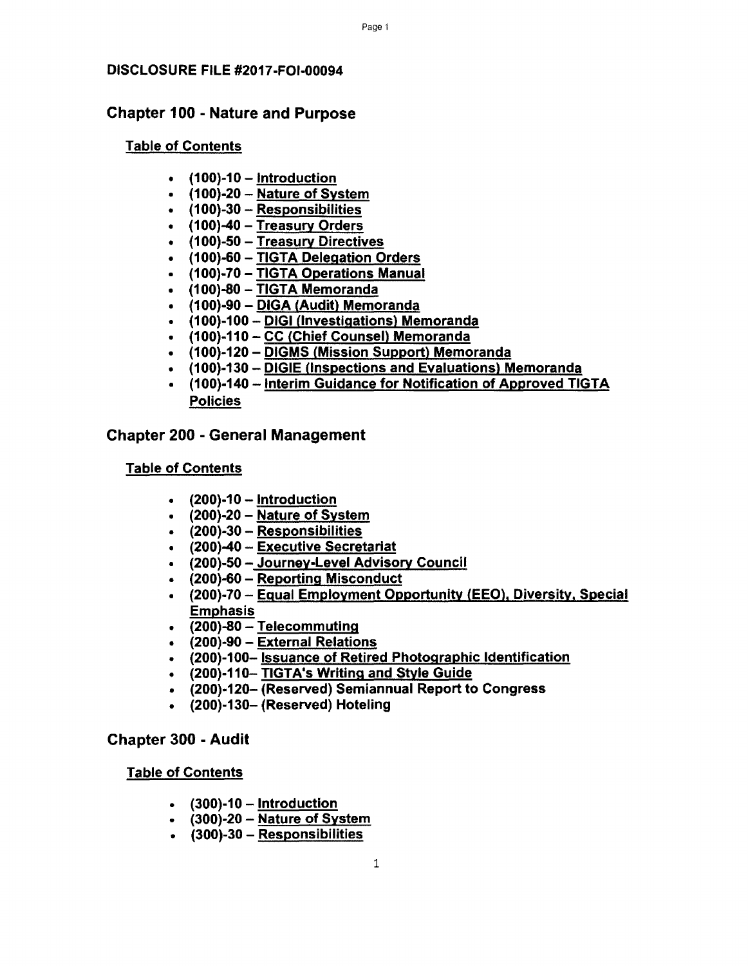# Chapter 100 - Nature and Purpose

#### Table of Contents

- $\cdot$  (100)-10 Introduction
- $\cdot$  (100)-20 Nature of System
- (100)-30 Responsibilities
- (100)-40 Treasury Orders
- (100)-50 Treasury Directives
- (100)-60 TIGTA Delegation Orders
- (100)-70-TIGTA Operations Manual
- (100)-80 TIGTA Memoranda
- (100)-90 DIGA (Audit) Memoranda
- (100)-100- DIGI (Investigations) Memoranda
- (100)-110 CC (Chief Counsel) Memoranda
- (100)-120- DIGMS (Mission Support) Memoranda
- (100)-130 DIGIE (Inspections and Evaluations) Memoranda
- (100)-140 Interim Guidance for Notification of Approved TIGTA Policies

#### Chapter 200 - General Management

#### Table of Contents

- $\cdot$  (200)-10 Introduction
- $\cdot$  (200)-20 Nature of System
- (200)-30 Responsibilities
- (200)-40 Executive Secretariat
- (200)-50 Journey-Level Advisory Council
- (200)-60 Reporting Misconduct
- (200)-70 Equal Employment Opportunity (EEO), Diversity, Special Emphasis
- $\cdot$  (200)-80 Telecommuting
- (200)-90 External Relations
- (200)-100- Issuance of Retired Photographic Identification
- (200)-110- TIGTA's Writing and Style Guide
- (200)-120- (Reserved) Semiannual Report to Congress
- (200)-130- (Reserved) Hoteling

# Chapter 300 - Audit

- $\bullet$  (300)-10 Introduction
- $\cdot$  (300)-20 Nature of System
- $\cdot$  (300)-30 Responsibilities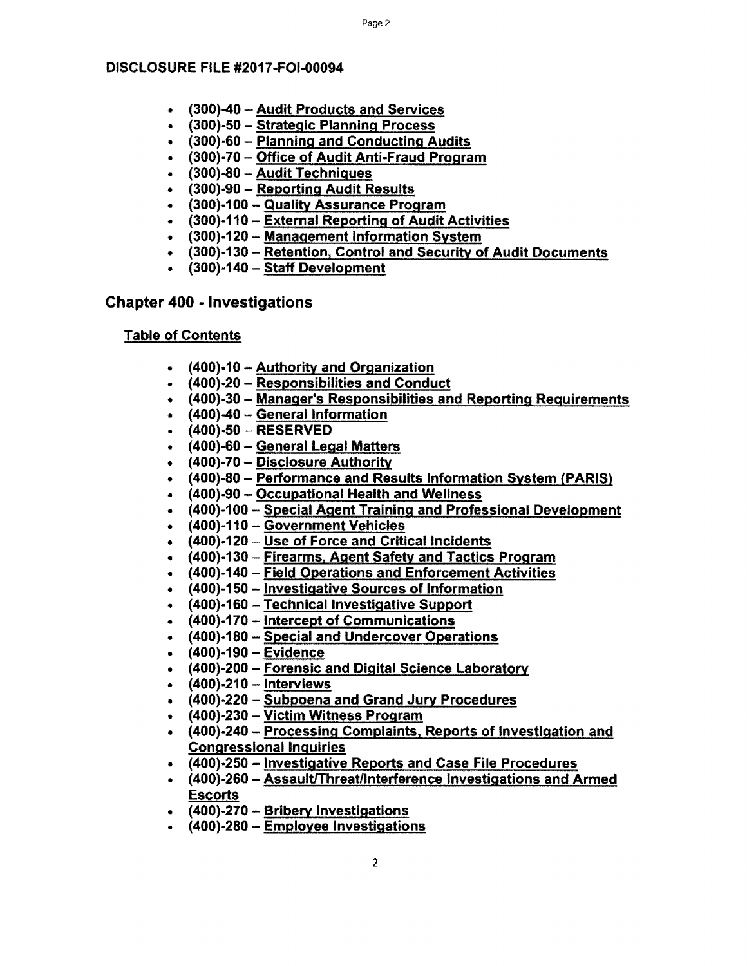- (300)-40 Audit Products and Services
- (300)-50 Strategic Planning Process
- (300)-60 Planning and Conducting Audits
- (300)-70 Office of Audit Anti-Fraud Program
- (300)-80 Audit Techniques
- (300)-90 Reporting Audit Results
- (300)-100- Quality Assurance Program
- (300)-110 External Reporting of Audit Activities
- (300)-120- Management Information System
- (300)-130 Retention, Control and Security of Audit Documents
- (300)-140 Staff Development

# Chapter 400 - Investigations

- (400)-10 -Authority and Organization
- (400)-20 Responsibilities and Conduct
- (400)-30 Manager's Responsibilities and Reporting Requirements
- (400)-40 General Information
- $\cdot$  (400)-50 RESERVED
- $\cdot$  (400)-60 General Legal Matters
- $\cdot$  (400)-70 Disclosure Authority
- (400)-80 Performance and Results Information System (PARIS)
- (400)-90 Occupational Health and Wellness
- (400)-100 Special Agent Training and Professional Development
- (400)-110 Government Vehicles
- (400)-120 Use of Force and Critical Incidents
- (400)-130- Firearms. Agent Safety and Tactics Program
- (400)-140 Field Operations and Enforcement Activities
- (400)-150 Investigative Sources of Information
- (400)-160 -Technical Investigative Support
- (400)-170 Intercept of Communications
- (400)-180 Special and Undercover Operations
- $•$   $(400)-190$  Evidence
- (400)-200 Forensic and Digital Science Laboratory
- $\cdot$  (400)-210 Interviews
- (400)-220 Subpoena and Grand Jury Procedures
- (400)-230 Victim Witness Program
- (400)-240 Processing Complaints, Reports of Investigation and Congressional Inquiries
- (400)-250 Investigative Reports and Case File Procedures
- (400)-260 Assault/Threat/Interference Investigations and Armed **Escorts**
- (400)-270 Bribery Investigations
- (400)-280 Employee Investigations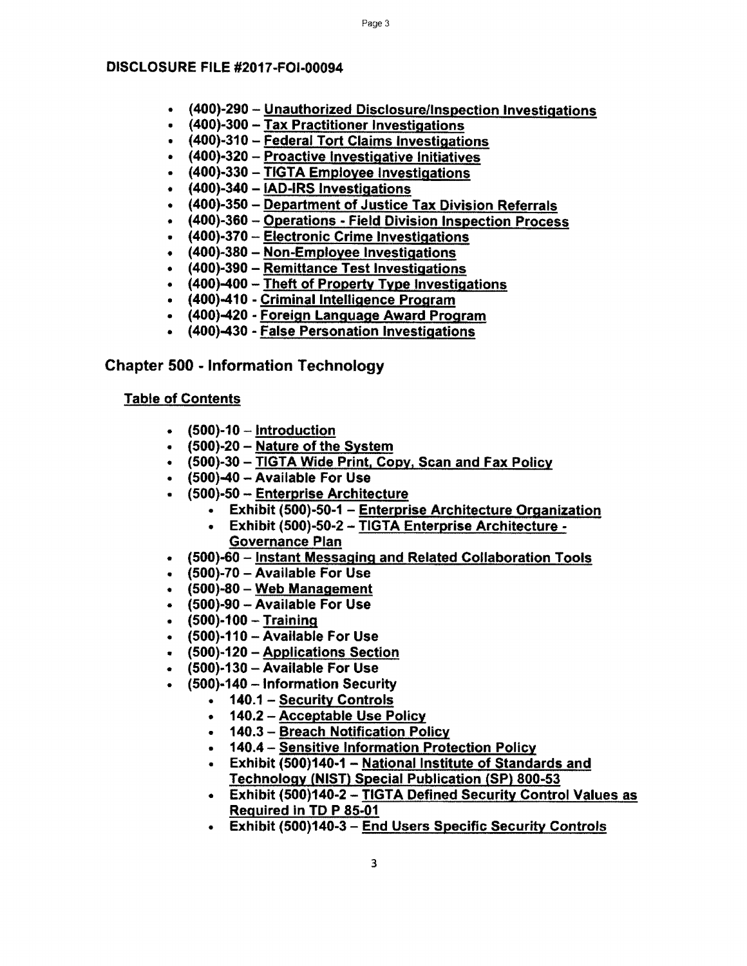- (400)-290 Unauthorized Disclosure/Inspection Investigations
- (400)-300 Tax Practitioner Investigations
- (400)-310 Federal Tort Claims Investigations
- (400)-320 Proactive Investigative Initiatives
- (400)-330 TIGTA Employee Investigations
- (400)-340- IAD-IRS Investigations
- (400)-350- Department of Justice Tax Division Referrals
- (400)-360 Operations Field Division Inspection Process
- (400)-370 Electronic Crime Investigations
- (400)-380 Non-Employee Investigations
- (400)-390 Remittance Test Investigations
- (400)-400 Theft of Property Type Investigations
- (400)-410 Criminal Intelligence Program
- (400)-420 Foreign Language Award Program
- (400)-430 False Personation Investigations

# Chapter 500 - Information Technology

- $\bullet$  (500)-10 Introduction
- (500)-20 Nature of the System
- (500)-30-TIGTA Wide Print, Copy, Scan and Fax Policy
- (500)-40 Available For Use
- (500)-50 Enterprise Architecture
	- Exhibit (500)-50-1 Enterprise Architecture Organization
	- Exhibit (500)-50-2-TIGTA Enterprise Architecture Governance Plan
- (500)-60- Instant Messaging and Related Collaboration Tools
- $\bullet$  (500)-70 Available For Use
- (500)-80 Web Management
- (500)-90 Available For Use
- $\bullet$  (500)-100 Training
- (500)-110 -Available For Use
- (500)-120 -Applications Section
- (500)-130 -Available For Use
- (500)·140 Information Security
	- 140.1 Security Controls
	- 140.2-Acceptable Use Policy
	- 140.3 Breach Notification Policy
	- 140.4 Sensitive Information Protection Policy
	- Exhibit (500)140-1 National Institute of Standards and Technology (NIST) Special Publication (SP) 800-53
	- Exhibit (500)140-2-TIGTA Defined Security Control Values as Required In TD P 85-01
	- Exhibit (500)140-3 End Users Specific Security Controls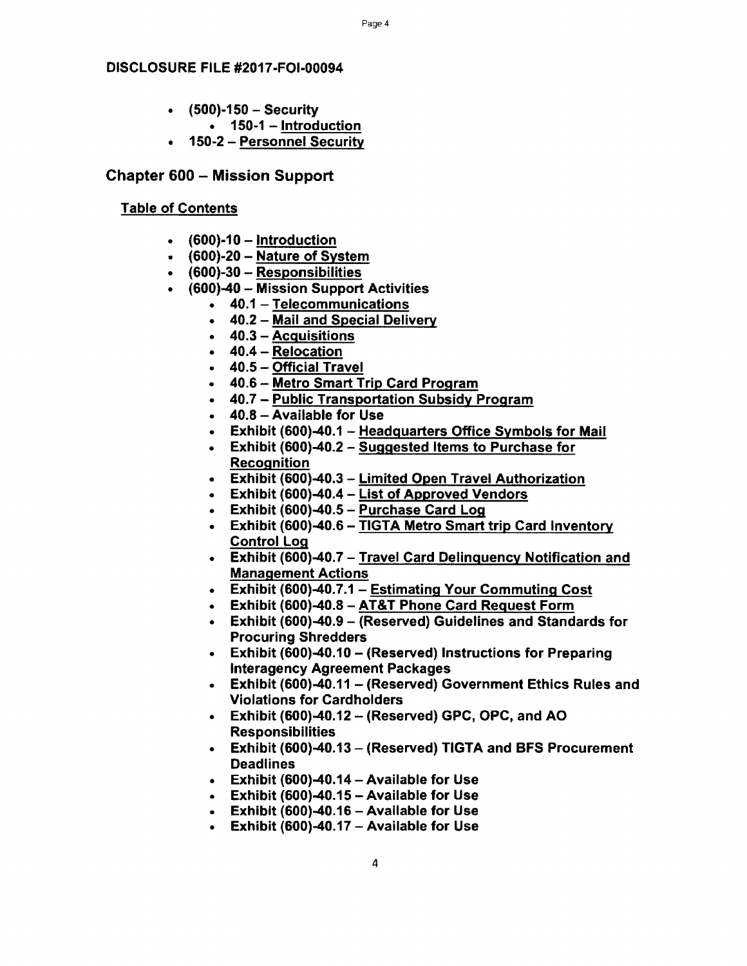# Page 4

#### DISCLOSURE FILE #2017-FOl-00094

- $(500)$ -150 Security
	- $\cdot$  150-1 Introduction
- 150-2 Personnel Security

# Chapter 600 - Mission Support

- $\cdot$  (600)-10 Introduction
- $\cdot$  (600)-20 Nature of System
- (600)-30 Responsibilities
- (600)-40 Mission Support Activities
	- 40.1 Telecommunications
	- 40.2 Mail and Special Delivery
	- 40.3 Acquisitions
	- 40.4 Relocation
	- 40.5 Official Travel
	- 40.6 Metro Smart Trip Card Program
	- 40.7 Public Transportation Subsidy Program
	- 40.8 Available for Use
	- Exhibit (600)-40.1 Headquarters Office Symbols for Mail
	- Exhibit (600)-40.2 Suggested Items to Purchase for Recognition
	- Exhibit (600)-40.3 Limited Open Travel Authorization
	- Exhibit (600)-40.4 List of Approved Vendors
	- **Exhibit (600)-40.5 Purchase Card Log**
	- Exhibit (600)-40.6 TIGTA Metro Smart trip Card Inventory Control Log
	- Exhibit (600)-40.7 Travel Card Delinquency Notification and Management Actions
	- Exhibit (600)-40.7.1 Estimating Your Commuting Cost
	- Exhibit (600)-40.8-AT&T Phone Card Request Form
	- Exhibit (600)-40.9 (Reserved) Guidelines and Standards for Procuring Shredders
	- Exhibit (600)-40.10 (Reserved) Instructions for Preparing lnteragency Agreement Packages
	- Exhibit (600)-40.11 (Reserved) Government Ethics Rules and Violations for Cardholders
	- $\bullet$  Exhibit (600)-40.12 (Reserved) GPC, OPC, and AO Responsibilities
	- Exhibit (600)-40.13 (Reserved) TIGTA and BFS Procurement Deadlines
	- Exhibit (600)-40.14-Available for Use
	- Exhibit  $(600)$ -40.15 Available for Use
	- **Exhibit (600)-40.16 Available for Use**
	- **•** Exhibit (600)-40.17 Available for Use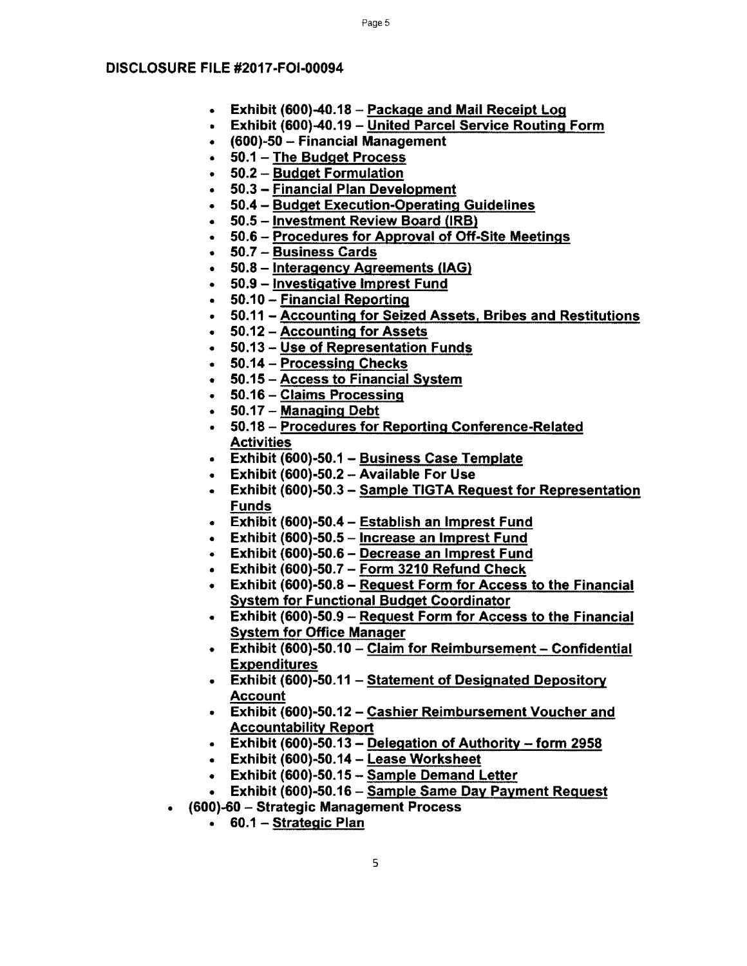- Exhibit (600)-40.18 Package and Mail Receipt Log
- Exhibit (600)-40.19 United Parcel Service Routing Form
- (600)-50 Financial Management
- 50.1 The Budget Process
- 50.2 Budget Formulation
- 50.3 Financial Plan Development
- 50.4 Budget Execution-Operating Guidelines
- 50.5 Investment Review Board (IRB)
- 50.6- Procedures for Approval of Off-Site Meetings
- $\cdot$  50.7 Business Cards
- 50.8 lnteragency Agreements (IAG)
- 50.9 Investigative Imprest Fund
- 50.10 Financial Reporting
- 50.11 Accounting for Seized Assets, Bribes and Restitutions
- 50.12-Accounting for Assets
- 50.13- Use of Representation Funds
- 50.14- Processing Checks
- 50.15 Access to Financial System
- 50.16 Claims Processing
- $\cdot$  50.17 Managing Debt
- 50.18 Procedures for Reporting Conference-Related **Activities**
- Exhibit (600)-50.1 Business Case Template
- Exhibit (600)·50.2 Available For Use
- Exhibit (600)-50.3 Sample TIGTA Request for Representation Funds
- Exhibit (600)-50.4 Establish an Imprest Fund
- Exhibit (600)-50.5 Increase an Imprest Fund
- Exhibit (600)-50.6 Decrease an Imprest Fund
- **Exhibit (600)-50.7 Form 3210 Refund Check**
- Exhibit (600)-50.8 Request Form for Access to the Financial System for Functional Budget Coordinator
- Exhibit (600)-50.9 Request Form for Access to the Financial System for Office Manager
- Exhibit (600)-50.10 Claim for Reimbursement Confidential Expenditures
- Exhibit (600)-50.11 Statement of Designated Depository Account
- Exhibit (600)-50.12 Cashier Reimbursement Voucher and Accountability Report
- **Exhibit (600)-50.13 Delegation of Authority form 2958**
- Exhibit (600)-50.14 Lease Worksheet
- Exhibit (600)-50.15 Sample Demand Letter
- Exhibit (600)-50.16- Sample Same Day Payment Request
- (600)-60 Strategic Management Process
	- 60.1 Strategic Plan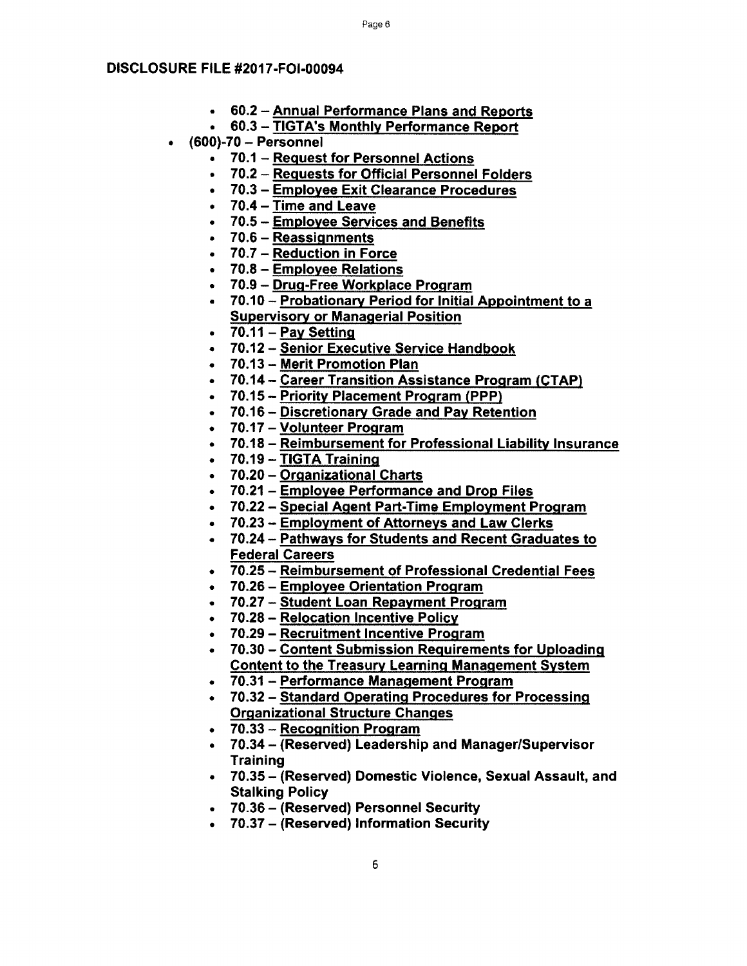- 60.2 -Annual Pertormance Plans and Reports
- 60.3 -TIGTA's Monthly Pertormance Report
- (600)-70 Personnel
	- 70.1 Request for Personnel Actions
	- 70.2 Requests for Official Personnel Folders
	- 70.3 Employee Exit Clearance Procedures
	- 70.4 Time and Leave
	- 70.5 Employee Services and Benefits
	- 70.6 Reassignments
	- $\bullet$  70.7 Reduction in Force
	- 70.8 Employee Relations
	- 70.9 Drug-Free Workplace Program
	- 70.10 Probationary Period for Initial Appointment to a Supervisory or Managerial Position
	- $\bullet$  70.11 Pav Setting
	- 70.12- Senior Executive Service Handbook
	- 70.13 Merit Promotion Plan
	- 70.14 Career Transition Assistance Program (CTAP)
	- 70.15 Priority Placement Program (PPP)
	- 70.16 Discretionary Grade and Pay Retention
	- 70.17 Volunteer Program
	- 70.18 Reimbursement for Professional Liability Insurance
	- 70.19 TIGTA Training
	- 70.20 Organizational Charts
	- 70.21 Employee Pertormance and Drop Files
	- 70.22- Special Agent Part-Time Employment Program
	- 70.23 Employment of Attorneys and Law Clerks
	- 70.24- Pathways for Students and Recent Graduates to Federal Careers
	- 70.25 Reimbursement of Professional Credential Fees
	- 70.26 Employee Orientation Program
	- 70.27 Student Loan Repayment Program
	- 70.28- Relocation Incentive Policy
	- 70.29 Recruitment Incentive Program
	- 70.30 Content Submission Requirements for Uploading Content to the Treasury Learning Management System
	- 70.31 Pertormance Management Program
	- 70.32 Standard Operating Procedures for Processing Organizational Structure Changes
	- 70.33 Recognition Program
	- 70.34 (Reserved) Leadership and Manager/Supervisor **Training**
	- 70.35 (Reserved) Domestic Violence, Sexual Assault, and Stalking Policy
	- 70.36- (Reserved) Personnel Security
	- 70.37 (Reserved) Information Security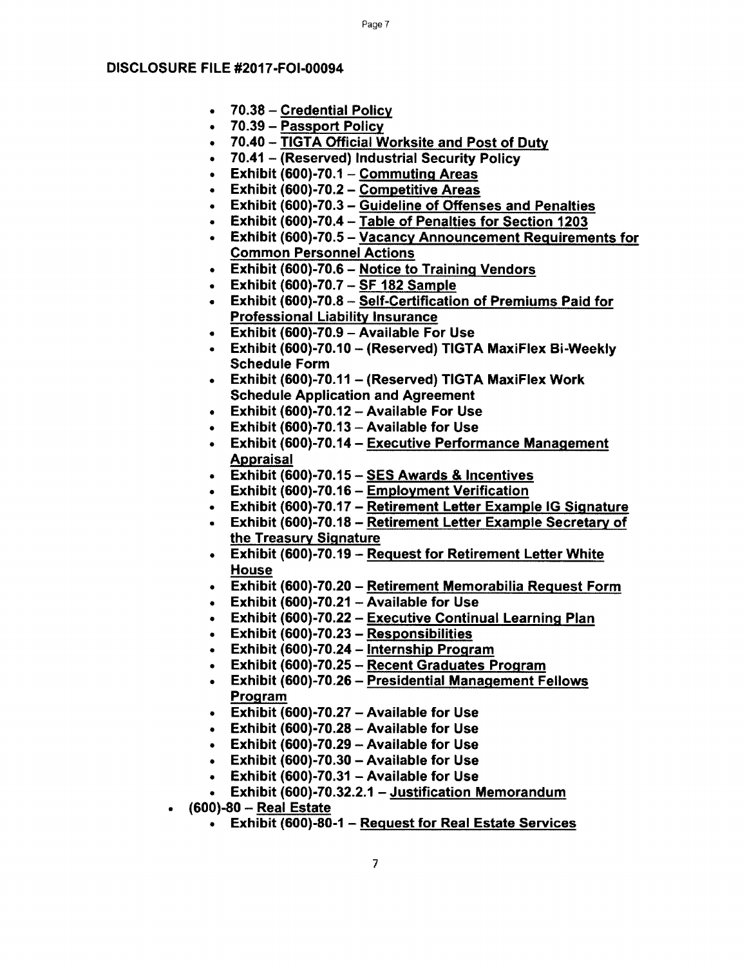- 70.38 Credential Policy
- 70.39- Passport Policy
- 70.40 TIGTA Official Worksite and Post of Duty
- 70.41 (Reserved) Industrial Security Policy
- Exhibit (600)-70.1 Commuting Areas
- Exhibit (600)-70.2 Competitive Areas
- Exhibit (600)-70.3 Guideline of Offenses and Penalties
- Exhibit (600)-70.4 -Table of Penalties for Section 1203
- Exhibit (600)-70.5- Vacancy Announcement Requirements for Common Personnel Actions
- Exhibit (600)-70.6 Notice to Training Vendors
- Exhibit (600)-70.7  $-$  SF 182 Sample
- Exhibit (600)-70.8 Self-Certification of Premiums Paid for Professional Liability Insurance
- Exhibit (600)-70.9 Available For Use
- Exhibit (600)-70.10 (Reserved) TIGTA MaxiFlex Bi-Weekly Schedule Form
- Exhibit (600)-70.11 (Reserved) TIGTA MaxiFlex Work Schedule Application and Agreement
- Exhibit (600)-70.12 -Available For Use
- $\bullet$  Exhibit (600)-70.13 Available for Use
- Exhibit (600)-70.14- Executive Performance Management Appraisal
- Exhibit (600)-70.15 SES Awards & Incentives
- Exhibit (600)-70.16 Employment Verification
- Exhibit (600)-70.17 Retirement Letter Example IG Signature
- Exhibit (600)-70.18 Retirement Letter Example Secretary of the Treasury Signature
- Exhibit (600)-70.19 Request for Retirement Letter White House
- Exhibit (600)-70.20 Retirement Memorabilia Request Form
- **Exhibit (600)-70.21 Available for Use**
- Exhibit (600)-70.22 Executive Continual Learning Plan
- Exhibit (600)-70.23 Responsibilities
- Exhibit (600)-70.24 Internship Program
- Exhibit (600)-70.25 Recent Graduates Program
- Exhibit (600)-70.26 Presidential Management Fellows Program
- Exhibit (600)-70.27 Available for Use
- **Exhibit (600)-70.28 Available for Use**
- **Exhibit (600)-70.29 Available for Use**
- **Exhibit (600)-70.30 Available for Use**
- Exhibit (600)-70.31 Available for Use
- Exhibit (600)-70.32.2.1 Justification Memorandum
- (600)-80 Real Estate
	- Exhibit (600)-80-1 Request for Real Estate Services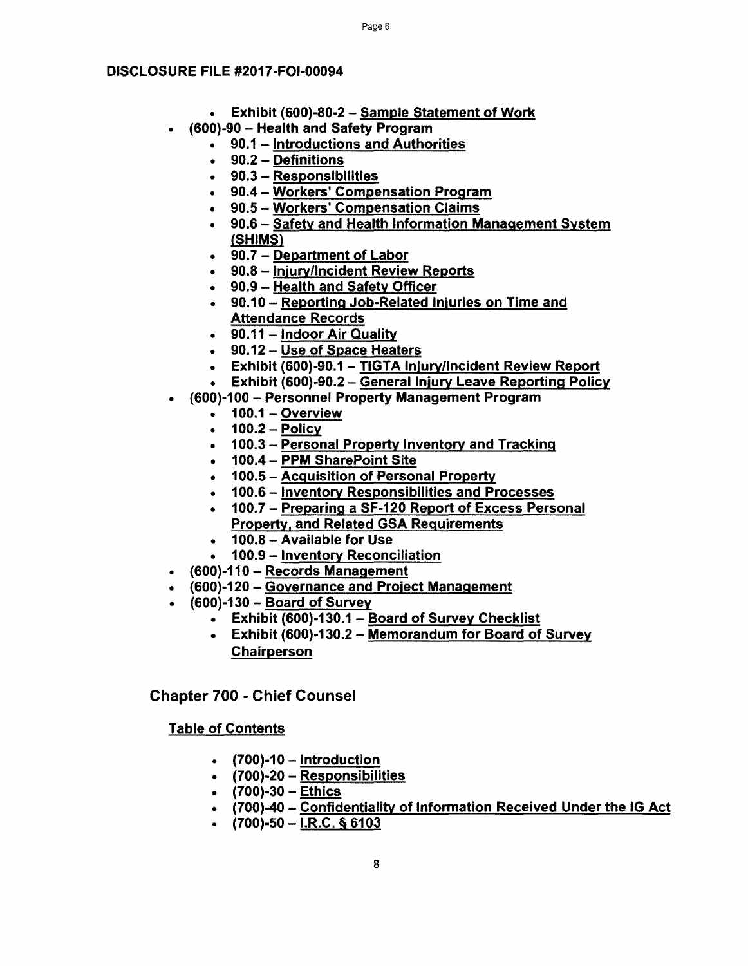- Exhibit (600)-80-2 Sample Statement of Work
- (600)-90 Health and Safety Program
	- 90.1 Introductions and Authorities
	- 90.2 Definitions
	- 90.3 Responsibilities
	- 90.4 Workers' Compensation Program
	- 90.5-Workers' Compensation Claims
	- 90.6 Safety and Health Information Management System (SHIMS)
	- $\bullet$  90.7 Department of Labor
	- 90.8 Injury/Incident Review Reports
	- 90.9 Health and Safety Officer
	- 90.10- Reporting Job-Related Injuries on Time and Attendance Records
	- $\cdot$  90.11 Indoor Air Quality
	- 90.12 Use of Space Heaters
	- Exhibit (600)-90.1 TIGTA Injury/Incident Review Report
	- Exhibit (600)-90.2 General Injury Leave Reporting Policy
	- (600)-100 Personnel Property Management Program
		- $\bullet$  100.1 Overview
		- $\cdot$  100.2 Policy
		- 100.3 Personal Property Inventory and Tracking
		- 100.4- PPM SharePoint Site
		- 100.5 Acquisition of Personal Property
		- 100.6 Inventory Responsibilities and Processes
		- 100.7 Preparing a SF-120 Report of Excess Personal Property, and Related GSA Requirements
		- 100.8 -Available for Use
		- 100.9 Inventory Reconciliation
- (600)-110 Records Management
- (600)-120 Governance and Project Management
- $\cdot$  (600)-130 Board of Survey
	- Exhibit (600)-130.1 Board of Survey Checklist
	- Exhibit (600)-130.2 Memorandum for Board of Survey Chairperson

Chapter 700 - Chief Counsel

- $\bullet$  (700)-10 Introduction
- $(700)-20$  Responsibilities
- $(700)-30$  Ethics
- (700)-40 Confidentiality of Information Received Under the IG Act
- $(700)-50$   $1 \text{R.C.}$  § 6103